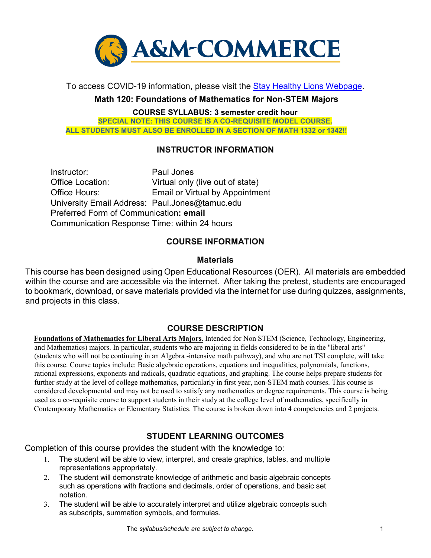

To access COVID-19 information, please visit the [Stay Healthy Lions Webpage.](https://new.tamuc.edu/coronavirus/) 

**Math 120: Foundations of Mathematics for Non-STEM Majors** 

**COURSE SYLLABUS: 3 semester credit hour** 

**SPECIAL NOTE: THIS COURSE IS A CO-REQUISITE MODEL COURSE. ALL STUDENTS MUST ALSO BE ENROLLED IN A SECTION OF MATH 1332 or 1342!!**

#### **INSTRUCTOR INFORMATION**

Instructor: Paul Jones Office Location: Virtual only (live out of state) Office Hours: Email or Virtual by Appointment University Email Address: Paul.Jones@tamuc.edu Preferred Form of Communication**: email**  Communication Response Time: within 24 hours

#### **COURSE INFORMATION**

#### **Materials**

This course has been designed using Open Educational Resources (OER). All materials are embedded within the course and are accessible via the internet. After taking the pretest, students are encouraged to bookmark, download, or save materials provided via the internet for use during quizzes, assignments, and projects in this class.

#### **[COURSE DESCRIPTION](http://catalog.tamuc.edu/undergrad/colleges-and-departments/college-of-innovation-design/baas-organizational-leadership/?_ga=2.81546143.928332977.1616426723-584154711.1595512675)**

**Foundations of Mathematics for Liberal Arts Majors**. Intended for Non STEM (Science, Technology, Engineering, and Mathematics) majors. In particular, students who are majoring in fields considered to be in the "liberal arts" (students who will not be continuing in an Algebra -intensive math pathway), and who are not TSI complete, will take this course. Course topics include: Basic algebraic operations, equations and inequalities, polynomials, functions, rational expressions, exponents and radicals, quadratic equations, and graphing. The course helps prepare students for further study at the level of college mathematics, particularly in first year, non-STEM math courses. This course is considered developmental and may not be used to satisfy any mathematics or degree requirements. This course is being used as a co-requisite course to support students in their study at the college level of mathematics, specifically in Contemporary Mathematics or Elementary Statistics. The course is broken down into 4 competencies and 2 projects.

### **STUDENT LEARNING OUTCOMES**

Completion of this course provides the student with the knowledge to:

- 1. The student will be able to view, interpret, and create graphics, tables, and multiple representations appropriately.
- 2. The student will demonstrate knowledge of arithmetic and basic algebraic concepts such as operations with fractions and decimals, order of operations, and basic set notation.
- 3. The student will be able to accurately interpret and utilize algebraic concepts such as subscripts, summation symbols, and formulas.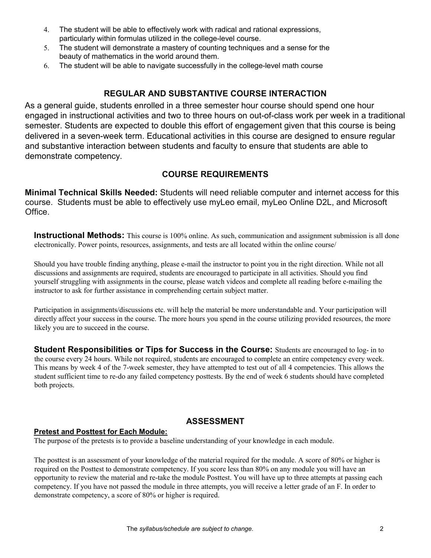- 4. The student will be able to effectively work with radical and rational expressions, particularly within formulas utilized in the college-level course.
- 5. The student will demonstrate a mastery of counting techniques and a sense for the beauty of mathematics in the world around them.
- 6. The student will be able to navigate successfully in the college-level math course

### **REGULAR AND SUBSTANTIVE COURSE INTERACTION**

As a general guide, students enrolled in a three semester hour course should spend one hour engaged in instructional activities and two to three hours on out-of-class work per week in a traditional semester. Students are expected to double this effort of engagement given that this course is being delivered in a seven-week term. Educational activities in this course are designed to ensure regular and substantive interaction between students and faculty to ensure that students are able to demonstrate competency.

### **COURSE REQUIREMENTS**

**Minimal Technical Skills Needed:** Students will need reliable computer and internet access for this course. Students must be able to effectively use myLeo email, myLeo Online D2L, and Microsoft Office.

**Instructional Methods:** This course is 100% online. As such, communication and assignment submission is all done electronically. Power points, resources, assignments, and tests are all located within the online course/

Should you have trouble finding anything, please e-mail the instructor to point you in the right direction. While not all discussions and assignments are required, students are encouraged to participate in all activities. Should you find yourself struggling with assignments in the course, please watch videos and complete all reading before e-mailing the instructor to ask for further assistance in comprehending certain subject matter.

Participation in assignments/discussions etc. will help the material be more understandable and. Your participation will directly affect your success in the course. The more hours you spend in the course utilizing provided resources, the more likely you are to succeed in the course.

**Student Responsibilities or Tips for Success in the Course:** Students are encouraged to log- in to the course every 24 hours. While not required, students are encouraged to complete an entire competency every week. This means by week 4 of the 7-week semester, they have attempted to test out of all 4 competencies. This allows the student sufficient time to re-do any failed competency posttests. By the end of week 6 students should have completed both projects.

### **ASSESSMENT**

#### **Pretest and Posttest for Each Module:**

The purpose of the pretests is to provide a baseline understanding of your knowledge in each module.

The posttest is an assessment of your knowledge of the material required for the module. A score of 80% or higher is required on the Posttest to demonstrate competency. If you score less than 80% on any module you will have an opportunity to review the material and re-take the module Posttest. You will have up to three attempts at passing each competency. If you have not passed the module in three attempts, you will receive a letter grade of an F. In order to demonstrate competency, a score of 80% or higher is required.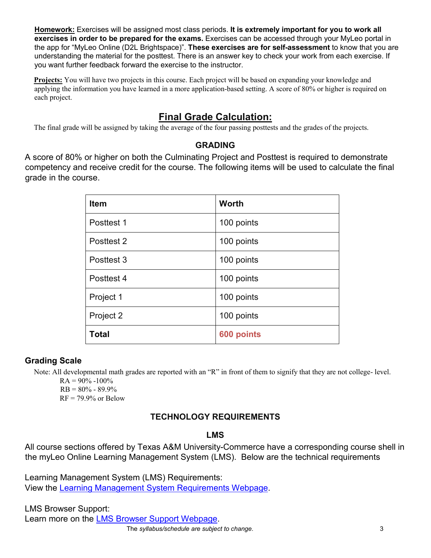**Homework:** Exercises will be assigned most class periods. **It is extremely important for you to work all exercises in order to be prepared for the exams.** Exercises can be accessed through your MyLeo portal in the app for "MyLeo Online (D2L Brightspace)". **These exercises are for self-assessment** to know that you are understanding the material for the posttest. There is an answer key to check your work from each exercise. If you want further feedback forward the exercise to the instructor.

**Projects:** You will have two projects in this course. Each project will be based on expanding your knowledge and applying the information you have learned in a more application-based setting. A score of 80% or higher is required on each project.

# **Final Grade Calculation:**

The final grade will be assigned by taking the average of the four passing posttests and the grades of the projects.

### **GRADING**

A score of 80% or higher on both the Culminating Project and Posttest is required to demonstrate competency and receive credit for the course. The following items will be used to calculate the final grade in the course.

| <b>Item</b>  | <b>Worth</b> |
|--------------|--------------|
| Posttest 1   | 100 points   |
| Posttest 2   | 100 points   |
| Posttest 3   | 100 points   |
| Posttest 4   | 100 points   |
| Project 1    | 100 points   |
| Project 2    | 100 points   |
| <b>Total</b> | 600 points   |

### **Grading Scale**

Note: All developmental math grades are reported with an "R" in front of them to signify that they are not college- level.

 $RA = 90\% - 100\%$  $RB = 80\% - 89.9\%$  $RF = 79.9\%$  or Below

# **TECHNOLOGY REQUIREMENTS**

### **LMS**

All course sections offered by Texas A&M University-Commerce have a corresponding course shell in the myLeo Online Learning Management System (LMS). Below are the technical requirements

Learning Management System (LMS) Requirements: View the [Learning Management System Requirements Webpage.](https://community.brightspace.com/s/article/Brightspace-Platform-Requirements) 

 The *syllabus/schedule are subject to change.* 3 LMS Browser Support: Learn more on the [LMS Browser Support Webpage.](https://documentation.brightspace.com/EN/brightspace/requirements/all/browser_support.htm)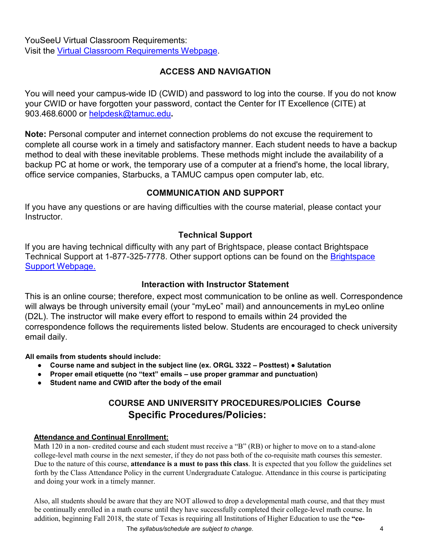YouSeeU Virtual Classroom Requirements: Visit the [Virtual Classroom Requirements Webpage.](https://support.youseeu.com/hc/en-us/articles/115007031107-Basic-System-Requirements) 

# **ACCESS AND NAVIGATION**

You will need your campus-wide ID (CWID) and password to log into the course. If you do not know your CWID or have forgotten your password, contact the Center for IT Excellence (CITE) at 903.468.6000 or helpdesk@tamuc.edu**.** 

**Note:** Personal computer and internet connection problems do not excuse the requirement to complete all course work in a timely and satisfactory manner. Each student needs to have a backup method to deal with these inevitable problems. These methods might include the availability of a backup PC at home or work, the temporary use of a computer at a friend's home, the local library, office service companies, Starbucks, a TAMUC campus open computer lab, etc.

# **COMMUNICATION AND SUPPORT**

If you have any questions or are having difficulties with the course material, please contact your Instructor.

# **Technical Support**

If you are having technical difficulty with any part of Brightspace, please contact Brightspace Technical Support at 1-877-325-7778. Other support options can be found on the Brightspace [Support Webpage.](https://community.brightspace.com/support/s/contactsupport)

### **Interaction with Instructor Statement**

This is an online course; therefore, expect most communication to be online as well. Correspondence will always be through university email (your "myLeo" mail) and announcements in myLeo online (D2L). The instructor will make every effort to respond to emails within 24 provided the correspondence follows the requirements listed below. Students are encouraged to check university email daily.

**All emails from students should include:** 

- **Course name and subject in the subject line (ex. ORGL 3322 Posttest) Salutation**
- **Proper email etiquette (no "text" emails use proper grammar and punctuation)**
- **Student name and CWID after the body of the email**

# **COURSE AND UNIVERSITY PROCEDURES/POLICIES Course Specific Procedures/Policies:**

#### **Attendance and Continual Enrollment:**

Math 120 in a non- credited course and each student must receive a "B" (RB) or higher to move on to a stand-alone college-level math course in the next semester, if they do not pass both of the co-requisite math courses this semester. Due to the nature of this course, **attendance is a must to pass this class**. It is expected that you follow the guidelines set forth by the Class Attendance Policy in the current Undergraduate Catalogue. Attendance in this course is participating and doing your work in a timely manner.

Also, all students should be aware that they are NOT allowed to drop a developmental math course, and that they must be continually enrolled in a math course until they have successfully completed their college-level math course. In addition, beginning Fall 2018, the state of Texas is requiring all Institutions of Higher Education to use the **"co-**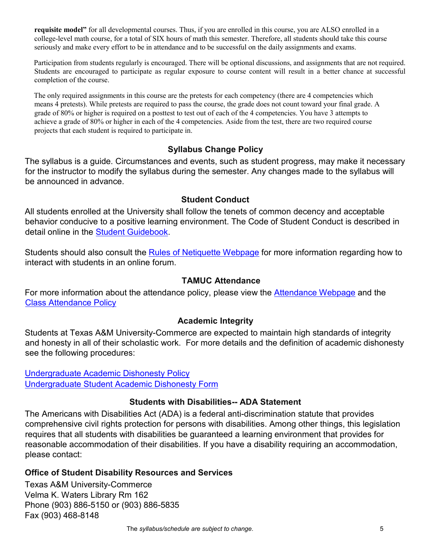**requisite model"** for all developmental courses. Thus, if you are enrolled in this course, you are ALSO enrolled in a college-level math course, for a total of SIX hours of math this semester. Therefore, all students should take this course seriously and make every effort to be in attendance and to be successful on the daily assignments and exams.

Participation from students regularly is encouraged. There will be optional discussions, and assignments that are not required. Students are encouraged to participate as regular exposure to course content will result in a better chance at successful completion of the course.

The only required assignments in this course are the pretests for each competency (there are 4 competencies which means 4 pretests). While pretests are required to pass the course, the grade does not count toward your final grade. A grade of 80% or higher is required on a posttest to test out of each of the 4 competencies. You have 3 attempts to achieve a grade of 80% or higher in each of the 4 competencies. Aside from the test, there are two required course projects that each student is required to participate in.

#### **Syllabus Change Policy**

The syllabus is a guide. Circumstances and events, such as student progress, may make it necessary for the instructor to modify the syllabus during the semester. Any changes made to the syllabus will be announced in advance.

#### **Student Conduct**

All students enrolled at the University shall follow the tenets of common decency and acceptable behavior conducive to a positive learning environment. The Code of Student Conduct is described in detail online in the [Student Guidebook.](http://www.tamuc.edu/Admissions/oneStopShop/undergraduateAdmissions/studentGuidebook.aspx)

Students should also consult the [Rules of Netiquette Webpage](https://www.britannica.com/topic/netiquette) [f](https://www.britannica.com/topic/netiquette)or more information regarding how to interact with students in an online forum.

#### **TAMUC Attendance**

For more information about the attendance policy, please view the [Attendance](http://www.tamuc.edu/admissions/registrar/generalInformation/attendance.aspx) [Webpage](http://www.tamuc.edu/admissions/registrar/generalInformation/attendance.aspx) and the [Class Attendance Policy](http://www.tamuc.edu/aboutUs/policiesProceduresStandardsStatements/rulesProcedures/13students/academic/13.99.99.R0.01.pdf)

#### **Academic Integrity**

Students at Texas A&M University-Commerce are expected to maintain high standards of integrity and honesty in all of their scholastic work. For more details and the definition of academic dishonesty see the following procedures:

[Undergraduate Academic Dishonesty Po](http://www.tamuc.edu/aboutUs/policiesProceduresStandardsStatements/rulesProcedures/13students/undergraduates/13.99.99.R0.03UndergraduateAcademicDishonesty.pdf)licy [Undergraduate Student Academic Dishonesty Form](http://www.tamuc.edu/aboutUs/policiesProceduresStandardsStatements/rulesProcedures/documents/13.99.99.R0.03UndergraduateStudentAcademicDishonestyForm.pdf)

#### **Students with Disabilities-- ADA Statement**

The Americans with Disabilities Act (ADA) is a federal anti-discrimination statute that provides comprehensive civil rights protection for persons with disabilities. Among other things, this legislation requires that all students with disabilities be guaranteed a learning environment that provides for reasonable accommodation of their disabilities. If you have a disability requiring an accommodation, please contact:

#### **Office of Student Disability Resources and Services**

Texas A&M University-Commerce Velma K. Waters Library Rm 162 Phone (903) 886-5150 or (903) 886-5835 Fax (903) 468-8148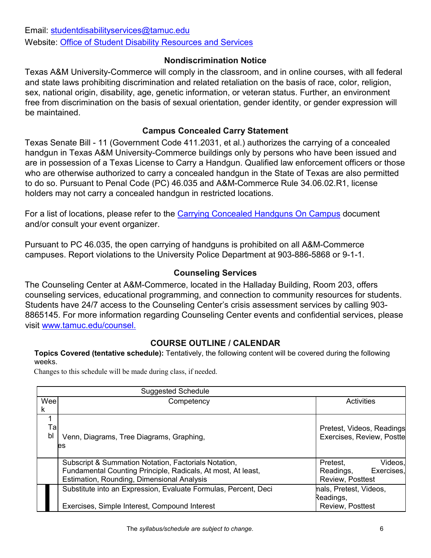#### **Nondiscrimination Notice**

Texas A&M University-Commerce will comply in the classroom, and in online courses, with all federal and state laws prohibiting discrimination and related retaliation on the basis of race, color, religion, sex, national origin, disability, age, genetic information, or veteran status. Further, an environment free from discrimination on the basis of sexual orientation, gender identity, or gender expression will be maintained.

### **Campus Concealed Carry Statement**

Texas Senate Bill - 11 (Government Code 411.2031, et al.) authorizes the carrying of a concealed handgun in Texas A&M University-Commerce buildings only by persons who have been issued and are in possession of a Texas License to Carry a Handgun. Qualified law enforcement officers or those who are otherwise authorized to carry a concealed handgun in the State of Texas are also permitted to do so. Pursuant to Penal Code (PC) 46.035 and A&M-Commerce Rule 34.06.02.R1, license holders may not carry a concealed handgun in restricted locations.

For a list of locations, please refer to the [Carrying Concealed Handguns On Campus](http://www.tamuc.edu/aboutUs/policiesProceduresStandardsStatements/rulesProcedures/34SafetyOfEmployeesAndStudents/34.06.02.R1.pdf) document and/or consult your event organizer.

Pursuant to PC 46.035, the open carrying of handguns is prohibited on all A&M-Commerce campuses. Report violations to the University Police Department at 903-886-5868 or 9-1-1.

# **Counseling Services**

The Counseling Center at A&M-Commerce, located in the Halladay Building, Room 203, offers counseling services, educational programming, and connection to community resources for students. Students have 24/7 access to the Counseling Center's crisis assessment services by calling 903- 8865145. For more information regarding Counseling Center events and confidential services, please visit [www.tamuc.edu/counsel.](http://www.tamuc.edu/counsel)

# **COURSE OUTLINE / CALENDAR**

**Topics Covered (tentative schedule):** Tentatively, the following content will be covered during the following weeks.

Changes to this schedule will be made during class, if needed.

|          | <b>Suggested Schedule</b>                                                                                                                                          |                                                                    |  |
|----------|--------------------------------------------------------------------------------------------------------------------------------------------------------------------|--------------------------------------------------------------------|--|
| Wee      | Competency                                                                                                                                                         | Activities                                                         |  |
| k        |                                                                                                                                                                    |                                                                    |  |
| Ta<br>bl | Venn, Diagrams, Tree Diagrams, Graphing,<br><b>es</b>                                                                                                              | Pretest, Videos, Readings<br>Exercises, Review, Postte             |  |
|          | Subscript & Summation Notation, Factorials Notation,<br>Fundamental Counting Principle, Radicals, At most, At least,<br>Estimation, Rounding, Dimensional Analysis | Videos,<br>Pretest,<br>Exercises,<br>Readings,<br>Review, Posttest |  |
|          | Substitute into an Expression, Evaluate Formulas, Percent, Deci                                                                                                    | hals, Pretest, Videos,                                             |  |
|          | Exercises, Simple Interest, Compound Interest                                                                                                                      | Readings,<br>Review, Posttest                                      |  |